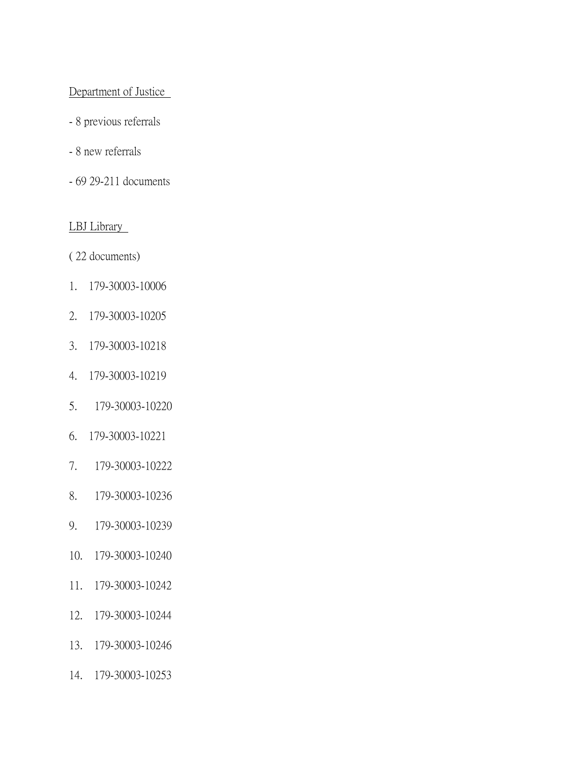## Department of Justice

- 8 previous referrals
- 8 new referrals
- 69 29-211 documents

# LBJ Library

( 22 documents)

- 1. 179-30003-10006
- 2. 179-30003-10205
- 3. 179-30003-10218
- 4. 179-30003-10219
- 5. 179-30003-10220
- 6. 179-30003-10221
- 7. 179-30003-10222
- 8. 179-30003-10236
- 9. 179-30003-10239
- 10. 179-30003-10240
- 11. 179-30003-10242
- 12. 179-30003-10244
- 13. 179-30003-10246
- 14. 179-30003-10253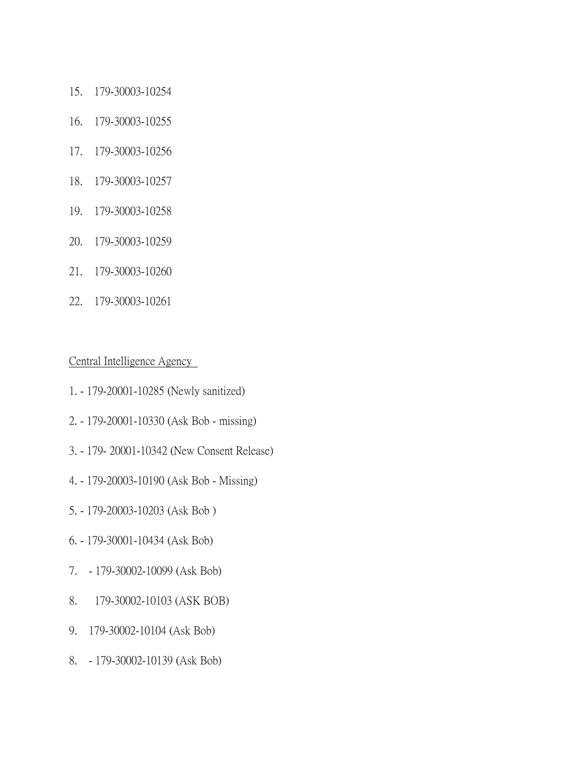- 15. 179-30003-10254
- 16. 179-30003-10255
- 17. 179-30003-10256
- 18. 179-30003-10257
- 19. 179-30003-10258
- 20. 179-30003-10259
- 21. 179-30003-10260
- 22. 179-30003-10261

Central Intelligence Agency

- 1. 179-20001-10285 (Newly sanitized)
- 2. 179-20001-10330 (Ask Bob missing)
- 3. 179- 20001-10342 (New Consent Release)
- 4. 179-20003-10190 (Ask Bob Missing)
- 5. 179-20003-10203 (Ask Bob )
- 6. 179-30001-10434 (Ask Bob)
- 7. 179-30002-10099 (Ask Bob)
- 8. 179-30002-10103 (ASK BOB)
- 9. 179-30002-10104 (Ask Bob)
- 8. 179-30002-10139 (Ask Bob)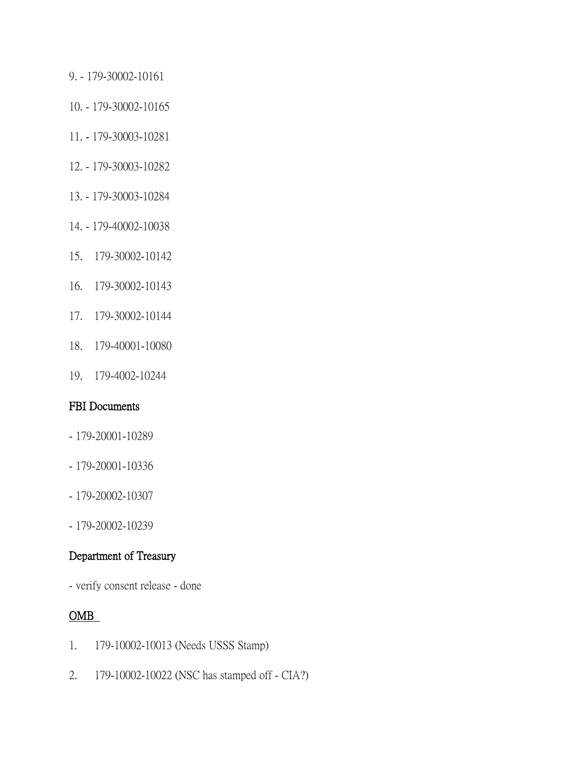- 9. 179-30002-10161
- 10. 179-30002-10165
- 11. 179-30003-10281
- 12. 179-30003-10282
- 13. 179-30003-10284
- 14. 179-40002-10038
- 15. 179-30002-10142
- 16. 179-30002-10143
- 17. 179-30002-10144
- 18. 179-40001-10080
- 19. 179-4002-10244

#### FBI Documents

- 179-20001-10289
- 179-20001-10336
- 179-20002-10307
- 179-20002-10239

### Department of Treasury

- verify consent release - done

### OMB

- 1. 179-10002-10013 (Needs USSS Stamp)
- 2. 179-10002-10022 (NSC has stamped off CIA?)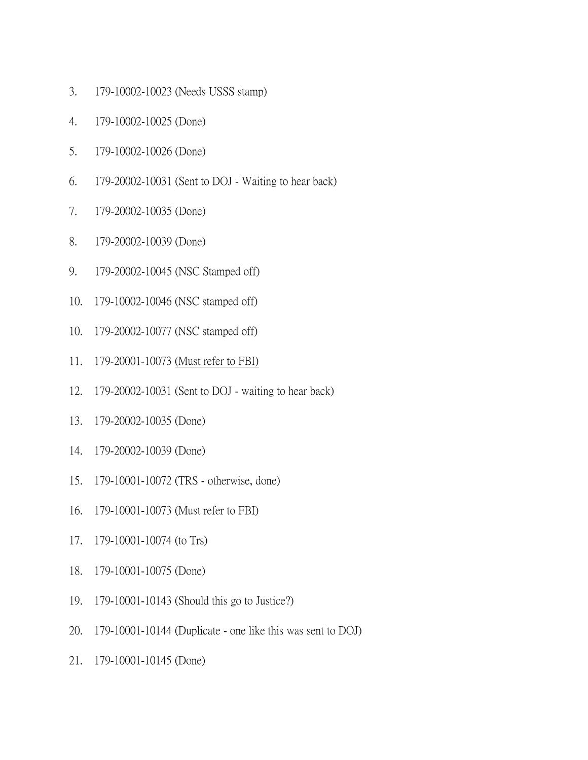- 3. 179-10002-10023 (Needs USSS stamp)
- 4. 179-10002-10025 (Done)
- 5. 179-10002-10026 (Done)
- 6. 179-20002-10031 (Sent to DOJ Waiting to hear back)
- 7. 179-20002-10035 (Done)
- 8. 179-20002-10039 (Done)
- 9. 179-20002-10045 (NSC Stamped off)
- 10. 179-10002-10046 (NSC stamped off)
- 10. 179-20002-10077 (NSC stamped off)
- 11. 179-20001-10073 (Must refer to FBI)
- 12. 179-20002-10031 (Sent to DOJ waiting to hear back)
- 13. 179-20002-10035 (Done)
- 14. 179-20002-10039 (Done)
- 15. 179-10001-10072 (TRS otherwise, done)
- 16. 179-10001-10073 (Must refer to FBI)
- 17. 179-10001-10074 (to Trs)
- 18. 179-10001-10075 (Done)
- 19. 179-10001-10143 (Should this go to Justice?)
- 20. 179-10001-10144 (Duplicate one like this was sent to DOJ)
- 21. 179-10001-10145 (Done)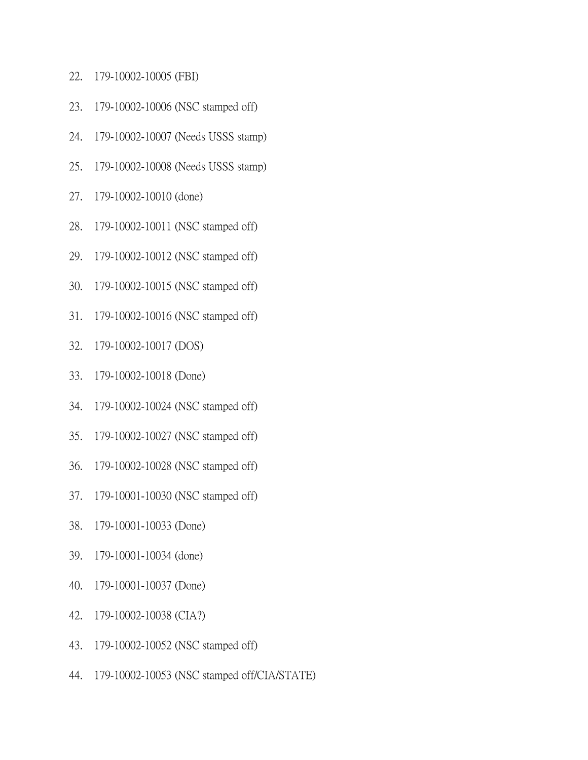- 22. 179-10002-10005 (FBI)
- 23. 179-10002-10006 (NSC stamped off)
- 24. 179-10002-10007 (Needs USSS stamp)
- 25. 179-10002-10008 (Needs USSS stamp)
- 27. 179-10002-10010 (done)
- 28. 179-10002-10011 (NSC stamped off)
- 29. 179-10002-10012 (NSC stamped off)
- 30. 179-10002-10015 (NSC stamped off)
- 31. 179-10002-10016 (NSC stamped off)
- 32. 179-10002-10017 (DOS)
- 33. 179-10002-10018 (Done)
- 34. 179-10002-10024 (NSC stamped off)
- 35. 179-10002-10027 (NSC stamped off)
- 36. 179-10002-10028 (NSC stamped off)
- 37. 179-10001-10030 (NSC stamped off)
- 38. 179-10001-10033 (Done)
- 39. 179-10001-10034 (done)
- 40. 179-10001-10037 (Done)
- 42. 179-10002-10038 (CIA?)
- 43. 179-10002-10052 (NSC stamped off)
- 44. 179-10002-10053 (NSC stamped off/CIA/STATE)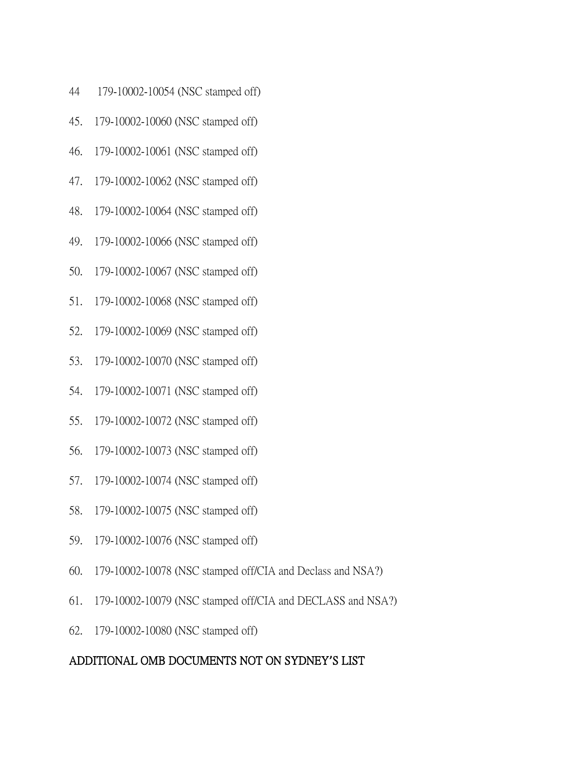- 44 179-10002-10054 (NSC stamped off)
- 45. 179-10002-10060 (NSC stamped off)
- 46. 179-10002-10061 (NSC stamped off)
- 47. 179-10002-10062 (NSC stamped off)
- 48. 179-10002-10064 (NSC stamped off)
- 49. 179-10002-10066 (NSC stamped off)
- 50. 179-10002-10067 (NSC stamped off)
- 51. 179-10002-10068 (NSC stamped off)
- 52. 179-10002-10069 (NSC stamped off)
- 53. 179-10002-10070 (NSC stamped off)
- 54. 179-10002-10071 (NSC stamped off)
- 55. 179-10002-10072 (NSC stamped off)
- 56. 179-10002-10073 (NSC stamped off)
- 57. 179-10002-10074 (NSC stamped off)
- 58. 179-10002-10075 (NSC stamped off)
- 59. 179-10002-10076 (NSC stamped off)
- 60. 179-10002-10078 (NSC stamped off/CIA and Declass and NSA?)
- 61. 179-10002-10079 (NSC stamped off/CIA and DECLASS and NSA?)
- 62. 179-10002-10080 (NSC stamped off)

#### ADDITIONAL OMB DOCUMENTS NOT ON SYDNEY**'**S LIST